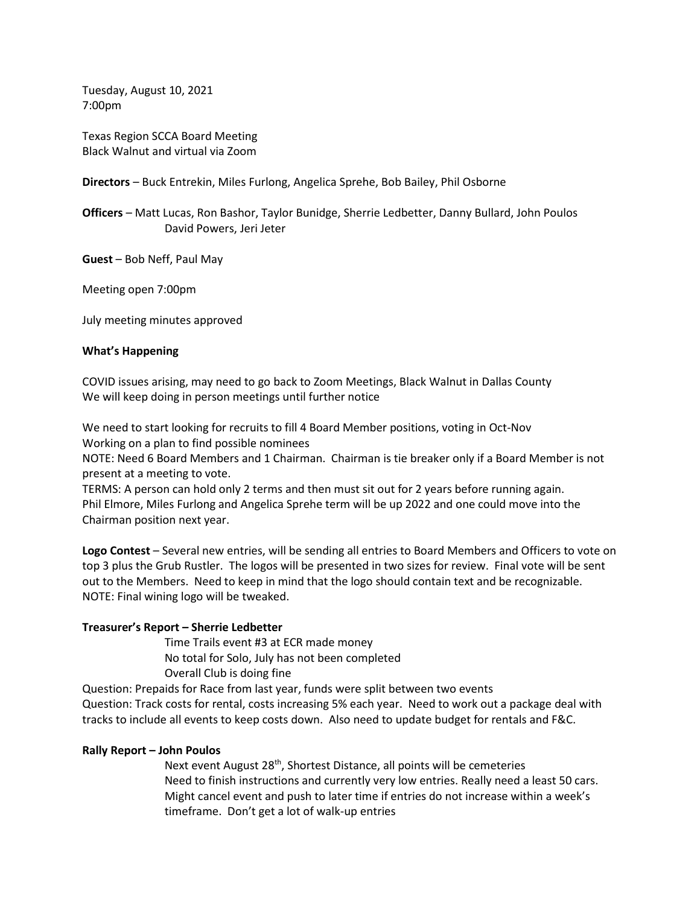Tuesday, August 10, 2021 7:00pm

Texas Region SCCA Board Meeting Black Walnut and virtual via Zoom

**Directors** – Buck Entrekin, Miles Furlong, Angelica Sprehe, Bob Bailey, Phil Osborne

**Officers** – Matt Lucas, Ron Bashor, Taylor Bunidge, Sherrie Ledbetter, Danny Bullard, John Poulos David Powers, Jeri Jeter

**Guest** – Bob Neff, Paul May

Meeting open 7:00pm

July meeting minutes approved

# **What's Happening**

COVID issues arising, may need to go back to Zoom Meetings, Black Walnut in Dallas County We will keep doing in person meetings until further notice

We need to start looking for recruits to fill 4 Board Member positions, voting in Oct-Nov Working on a plan to find possible nominees

NOTE: Need 6 Board Members and 1 Chairman. Chairman is tie breaker only if a Board Member is not present at a meeting to vote.

TERMS: A person can hold only 2 terms and then must sit out for 2 years before running again. Phil Elmore, Miles Furlong and Angelica Sprehe term will be up 2022 and one could move into the Chairman position next year.

**Logo Contest** – Several new entries, will be sending all entries to Board Members and Officers to vote on top 3 plus the Grub Rustler. The logos will be presented in two sizes for review. Final vote will be sent out to the Members. Need to keep in mind that the logo should contain text and be recognizable. NOTE: Final wining logo will be tweaked.

# **Treasurer's Report – Sherrie Ledbetter**

Time Trails event #3 at ECR made money No total for Solo, July has not been completed Overall Club is doing fine

Question: Prepaids for Race from last year, funds were split between two events Question: Track costs for rental, costs increasing 5% each year. Need to work out a package deal with tracks to include all events to keep costs down. Also need to update budget for rentals and F&C.

## **Rally Report – John Poulos**

Next event August 28<sup>th</sup>, Shortest Distance, all points will be cemeteries Need to finish instructions and currently very low entries. Really need a least 50 cars. Might cancel event and push to later time if entries do not increase within a week's timeframe. Don't get a lot of walk-up entries